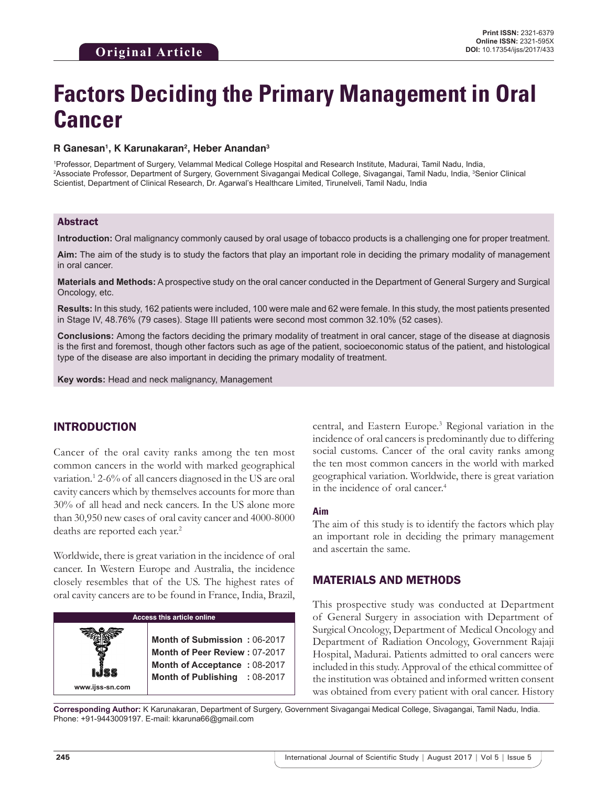# **Factors Deciding the Primary Management in Oral Cancer**

#### **R Ganesan1 , K Karunakaran2 , Heber Anandan3**

1 Professor, Department of Surgery, Velammal Medical College Hospital and Research Institute, Madurai, Tamil Nadu, India, 2 Associate Professor, Department of Surgery, Government Sivagangai Medical College, Sivagangai, Tamil Nadu, India, 3 Senior Clinical Scientist, Department of Clinical Research, Dr. Agarwal's Healthcare Limited, Tirunelveli, Tamil Nadu, India

### Abstract

**Introduction:** Oral malignancy commonly caused by oral usage of tobacco products is a challenging one for proper treatment.

**Aim:** The aim of the study is to study the factors that play an important role in deciding the primary modality of management in oral cancer.

**Materials and Methods:** A prospective study on the oral cancer conducted in the Department of General Surgery and Surgical Oncology, etc.

**Results:** In this study, 162 patients were included, 100 were male and 62 were female. In this study, the most patients presented in Stage IV, 48.76% (79 cases). Stage III patients were second most common 32.10% (52 cases).

**Conclusions:** Among the factors deciding the primary modality of treatment in oral cancer, stage of the disease at diagnosis is the first and foremost, though other factors such as age of the patient, socioeconomic status of the patient, and histological type of the disease are also important in deciding the primary modality of treatment.

**Key words:** Head and neck malignancy, Management

## INTRODUCTION

Cancer of the oral cavity ranks among the ten most common cancers in the world with marked geographical variation.<sup>1</sup> 2-6% of all cancers diagnosed in the US are oral cavity cancers which by themselves accounts for more than 30% of all head and neck cancers. In the US alone more than 30,950 new cases of oral cavity cancer and 4000-8000 deaths are reported each year.<sup>2</sup>

Worldwide, there is great variation in the incidence of oral cancer. In Western Europe and Australia, the incidence closely resembles that of the US. The highest rates of oral cavity cancers are to be found in France, India, Brazil,



central, and Eastern Europe.<sup>3</sup> Regional variation in the incidence of oral cancers is predominantly due to differing social customs. Cancer of the oral cavity ranks among the ten most common cancers in the world with marked geographical variation. Worldwide, there is great variation in the incidence of oral cancer.4

#### **Aim**

The aim of this study is to identify the factors which play an important role in deciding the primary management and ascertain the same.

## MATERIALS AND METHODS

This prospective study was conducted at Department of General Surgery in association with Department of Surgical Oncology, Department of Medical Oncology and Department of Radiation Oncology, Government Rajaji Hospital, Madurai. Patients admitted to oral cancers were included in this study. Approval of the ethical committee of the institution was obtained and informed written consent was obtained from every patient with oral cancer. History

**Corresponding Author:** K Karunakaran, Department of Surgery, Government Sivagangai Medical College, Sivagangai, Tamil Nadu, India. Phone: +91-9443009197. E-mail: kkaruna66@gmail.com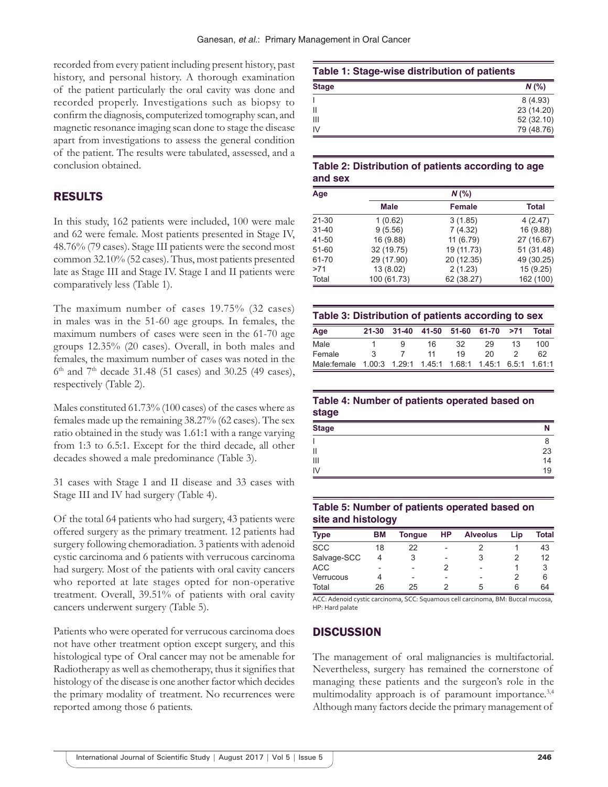recorded from every patient including present history, past history, and personal history. A thorough examination of the patient particularly the oral cavity was done and recorded properly. Investigations such as biopsy to confirm the diagnosis, computerized tomography scan, and magnetic resonance imaging scan done to stage the disease apart from investigations to assess the general condition of the patient. The results were tabulated, assessed, and a conclusion obtained.

### RESULTS

In this study, 162 patients were included, 100 were male and 62 were female. Most patients presented in Stage IV, 48.76% (79 cases). Stage III patients were the second most common 32.10% (52 cases). Thus, most patients presented late as Stage III and Stage IV. Stage I and II patients were comparatively less (Table 1).

The maximum number of cases 19.75% (32 cases) in males was in the 51-60 age groups. In females, the maximum numbers of cases were seen in the 61-70 age groups 12.35% (20 cases). Overall, in both males and females, the maximum number of cases was noted in the  $6<sup>th</sup>$  and  $7<sup>th</sup>$  decade 31.48 (51 cases) and 30.25 (49 cases), respectively (Table 2).

Males constituted 61.73% (100 cases) of the cases where as females made up the remaining 38.27% (62 cases). The sex ratio obtained in the study was 1.61:1 with a range varying from 1:3 to 6.5:1. Except for the third decade, all other decades showed a male predominance (Table 3).

31 cases with Stage I and II disease and 33 cases with Stage III and IV had surgery (Table 4).

Of the total 64 patients who had surgery, 43 patients were offered surgery as the primary treatment. 12 patients had surgery following chemoradiation. 3 patients with adenoid cystic carcinoma and 6 patients with verrucous carcinoma had surgery. Most of the patients with oral cavity cancers who reported at late stages opted for non-operative treatment. Overall, 39.51% of patients with oral cavity cancers underwent surgery (Table 5).

Patients who were operated for verrucous carcinoma does not have other treatment option except surgery, and this histological type of Oral cancer may not be amenable for Radiotherapy as well as chemotherapy, thus it signifies that histology of the disease is one another factor which decides the primary modality of treatment. No recurrences were reported among those 6 patients.

#### **Table 1: Stage‑wise distribution of patients**

| <b>Stage</b>   | $N$ (%)    |
|----------------|------------|
|                | 8(4.93)    |
| $\mathsf{II}$  | 23 (14.20) |
| $\mathbf{III}$ | 52 (32.10) |
| IV             | 79 (48.76) |

#### **Table 2: Distribution of patients according to age and sex**

| Age       | $N$ (%)     |            |              |  |  |  |
|-----------|-------------|------------|--------------|--|--|--|
|           | Male        | Female     | <b>Total</b> |  |  |  |
| $21 - 30$ | 1(0.62)     | 3(1.85)    | 4(2.47)      |  |  |  |
| $31 - 40$ | 9(5.56)     | 7(4.32)    | 16 (9.88)    |  |  |  |
| 41-50     | 16 (9.88)   | 11(6.79)   | 27 (16.67)   |  |  |  |
| $51 - 60$ | 32 (19.75)  | 19 (11.73) | 51 (31.48)   |  |  |  |
| 61-70     | 29 (17.90)  | 20 (12.35) | 49 (30.25)   |  |  |  |
| >71       | 13(8.02)    | 2(1.23)    | 15(9.25)     |  |  |  |
| Total     | 100 (61.73) | 62 (38.27) | 162 (100)    |  |  |  |

#### **Table 3: Distribution of patients according to sex**

| Age                                                          | $21 - 30$ |   |     | 31-40 41-50 51-60 61-70 >71 |     |    | Total |
|--------------------------------------------------------------|-----------|---|-----|-----------------------------|-----|----|-------|
| Male                                                         |           | ч | 16. | 32                          | 29  | 13 | 100   |
| Female                                                       | 2         |   | 11  | 19                          | 20. |    | 62.   |
| Male: female 1.00:3 1.29:1 1.45:1 1.68:1 1.45:1 6.5:1 1.61:1 |           |   |     |                             |     |    |       |

#### **Table 4: Number of patients operated based on stage**

| <b>Stage</b>  | Ν  |
|---------------|----|
|               |    |
| $\mathsf{II}$ | 23 |
| III           | 14 |
| IV            | 19 |

#### **Table 5: Number of patients operated based on site and histology**

| Type        | ВM | <b>Tongue</b> | HP | <b>Alveolus</b> | Lip | Total |
|-------------|----|---------------|----|-----------------|-----|-------|
| SCC         | 18 | 22            |    |                 |     | 43    |
| Salvage-SCC | 4  |               |    | 3               |     | 12    |
| ACC         |    |               |    |                 |     |       |
| Verrucous   |    |               |    |                 |     | 6     |
| Total       | 26 | 25            |    | 5               |     | 64    |

ACC: Adenoid cystic carcinoma, SCC: Squamous cell carcinoma, BM: Buccal mucosa, HP: Hard palate

#### **DISCUSSION**

The management of oral malignancies is multifactorial. Nevertheless, surgery has remained the cornerstone of managing these patients and the surgeon's role in the multimodality approach is of paramount importance.<sup>3,4</sup> Although many factors decide the primary management of